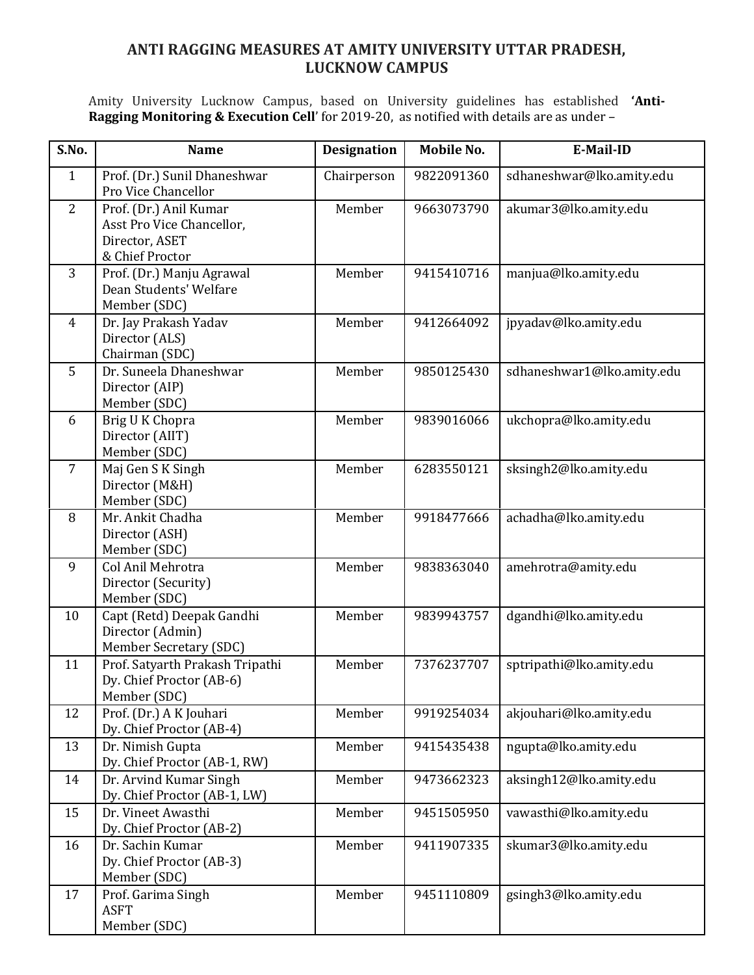## **ANTI RAGGING MEASURES AT AMITY UNIVERSITY UTTAR PRADESH, LUCKNOW CAMPUS**

Amity University Lucknow Campus, based on University guidelines has established **'Anti-Ragging Monitoring & Execution Cell**' for 2019-20, as notified with details are as under –

| S.No.          | <b>Name</b>                                                                              | <b>Designation</b> | <b>Mobile No.</b> | E-Mail-ID                  |
|----------------|------------------------------------------------------------------------------------------|--------------------|-------------------|----------------------------|
| $\mathbf{1}$   | Prof. (Dr.) Sunil Dhaneshwar<br>Pro Vice Chancellor                                      | Chairperson        | 9822091360        | sdhaneshwar@lko.amity.edu  |
| $\overline{2}$ | Prof. (Dr.) Anil Kumar<br>Asst Pro Vice Chancellor,<br>Director, ASET<br>& Chief Proctor | Member             | 9663073790        | akumar3@lko.amity.edu      |
| 3              | Prof. (Dr.) Manju Agrawal<br>Dean Students' Welfare<br>Member (SDC)                      | Member             | 9415410716        | manjua@lko.amity.edu       |
| $\overline{4}$ | Dr. Jay Prakash Yadav<br>Director (ALS)<br>Chairman (SDC)                                | Member             | 9412664092        | jpyadav@lko.amity.edu      |
| 5              | Dr. Suneela Dhaneshwar<br>Director (AIP)<br>Member (SDC)                                 | Member             | 9850125430        | sdhaneshwar1@lko.amity.edu |
| 6              | Brig U K Chopra<br>Director (AIIT)<br>Member (SDC)                                       | Member             | 9839016066        | ukchopra@lko.amity.edu     |
| $\overline{7}$ | Maj Gen S K Singh<br>Director (M&H)<br>Member (SDC)                                      | Member             | 6283550121        | sksingh2@lko.amity.edu     |
| 8              | Mr. Ankit Chadha<br>Director (ASH)<br>Member (SDC)                                       | Member             | 9918477666        | achadha@lko.amity.edu      |
| 9              | Col Anil Mehrotra<br>Director (Security)<br>Member (SDC)                                 | Member             | 9838363040        | amehrotra@amity.edu        |
| 10             | Capt (Retd) Deepak Gandhi<br>Director (Admin)<br>Member Secretary (SDC)                  | Member             | 9839943757        | dgandhi@lko.amity.edu      |
| 11             | Prof. Satyarth Prakash Tripathi<br>Dy. Chief Proctor (AB-6)<br>Member (SDC)              | Member             | 7376237707        | sptripathi@lko.amity.edu   |
| 12             | Prof. (Dr.) A K Jouhari<br>Dy. Chief Proctor (AB-4)                                      | Member             | 9919254034        | akjouhari@lko.amity.edu    |
| 13             | Dr. Nimish Gupta<br>Dy. Chief Proctor (AB-1, RW)                                         | Member             | 9415435438        | ngupta@lko.amity.edu       |
| 14             | Dr. Arvind Kumar Singh<br>Dy. Chief Proctor (AB-1, LW)                                   | Member             | 9473662323        | aksingh12@lko.amity.edu    |
| 15             | Dr. Vineet Awasthi<br>Dy. Chief Proctor (AB-2)                                           | Member             | 9451505950        | vawasthi@lko.amity.edu     |
| 16             | Dr. Sachin Kumar<br>Dy. Chief Proctor (AB-3)<br>Member (SDC)                             | Member             | 9411907335        | skumar3@lko.amity.edu      |
| 17             | Prof. Garima Singh<br><b>ASFT</b><br>Member (SDC)                                        | Member             | 9451110809        | gsingh3@lko.amity.edu      |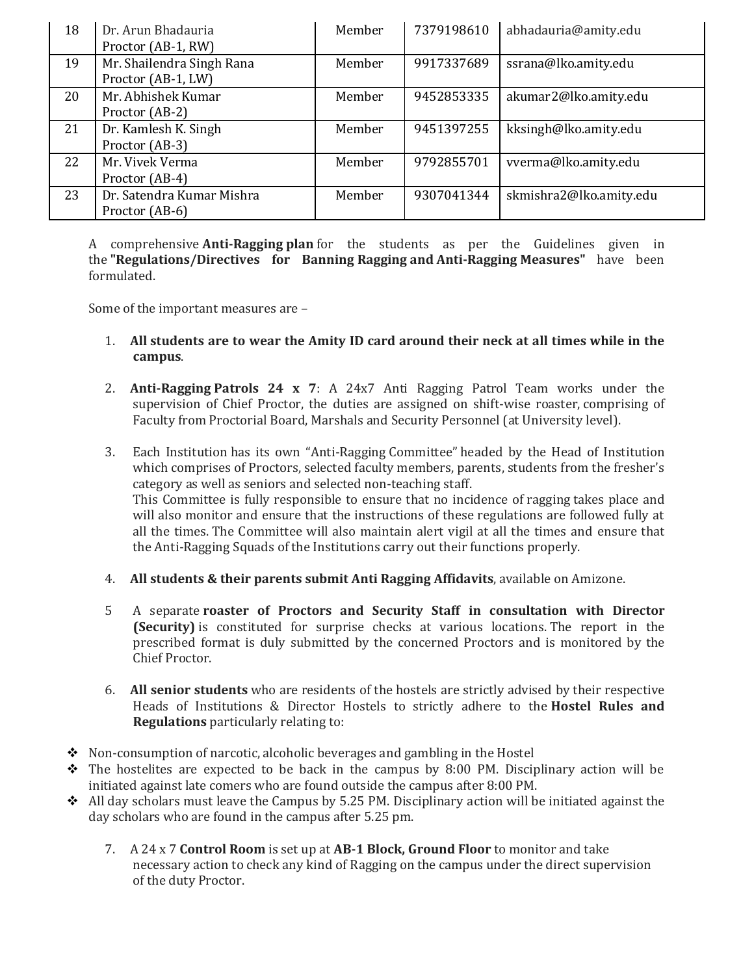| 18 | Dr. Arun Bhadauria<br>Proctor (AB-1, RW)        | Member | 7379198610 | abhadauria@amity.edu    |
|----|-------------------------------------------------|--------|------------|-------------------------|
| 19 | Mr. Shailendra Singh Rana<br>Proctor (AB-1, LW) | Member | 9917337689 | ssrana@lko.amity.edu    |
| 20 | Mr. Abhishek Kumar<br>Proctor (AB-2)            | Member | 9452853335 | akumar2@lko.amity.edu   |
| 21 | Dr. Kamlesh K. Singh<br>Proctor (AB-3)          | Member | 9451397255 | kksingh@lko.amity.edu   |
| 22 | Mr. Vivek Verma<br>Proctor (AB-4)               | Member | 9792855701 | vverma@lko.amity.edu    |
| 23 | Dr. Satendra Kumar Mishra<br>Proctor (AB-6)     | Member | 9307041344 | skmishra2@lko.amity.edu |

A comprehensive **Anti-Ragging plan** for the students as per the Guidelines given in the **"Regulations/Directives for Banning Ragging and Anti-Ragging Measures"** have been formulated.

Some of the important measures are –

- 1. **All students are to wear the Amity ID card around their neck at all times while in the campus**.
- 2. **Anti-Ragging Patrols 24 x 7**: A 24x7 Anti Ragging Patrol Team works under the supervision of Chief Proctor, the duties are assigned on shift-wise roaster, comprising of Faculty from Proctorial Board, Marshals and Security Personnel (at University level).
- 3. Each Institution has its own "Anti-Ragging Committee" headed by the Head of Institution which comprises of Proctors, selected faculty members, parents, students from the fresher's category as well as seniors and selected non-teaching staff. This Committee is fully responsible to ensure that no incidence of ragging takes place and will also monitor and ensure that the instructions of these regulations are followed fully at all the times. The Committee will also maintain alert vigil at all the times and ensure that the Anti-Ragging Squads of the Institutions carry out their functions properly.
- 4. **All students & their parents submit Anti Ragging Affidavits**, available on Amizone.
- 5 A separate **roaster of Proctors and Security Staff in consultation with Director (Security)** is constituted for surprise checks at various locations. The report in the prescribed format is duly submitted by the concerned Proctors and is monitored by the Chief Proctor.
- 6. **All senior students** who are residents of the hostels are strictly advised by their respective Heads of Institutions & Director Hostels to strictly adhere to the **Hostel Rules and Regulations** particularly relating to:
- $\lozenge$  Non-consumption of narcotic, alcoholic beverages and gambling in the Hostel
- $\hat{\mathbf{v}}$  The hostelites are expected to be back in the campus by 8:00 PM. Disciplinary action will be initiated against late comers who are found outside the campus after 8:00 PM.
- $\triangleleft$  All day scholars must leave the Campus by 5.25 PM. Disciplinary action will be initiated against the day scholars who are found in the campus after 5.25 pm.
	- 7. A 24 x 7 **Control Room** is set up at **AB-1 Block, Ground Floor** to monitor and take necessary action to check any kind of Ragging on the campus under the direct supervision of the duty Proctor.